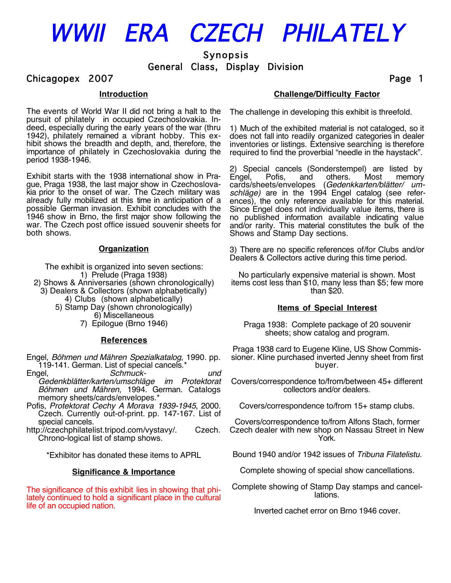# WWII ERA CZECH PHILATELY

Synopsis

General Class, Display Division

## Chicagopex 2007 **Page 1**

## **Introduction**

The events of World War II did not bring a halt to the pursuit of philately in occupied Czechoslovakia. Indeed, especially during the early years of the war (thru 1942), philately remained a vibrant hobby. This exhibit shows the breadth and depth, and, therefore, the importance of philately in Czechoslovakia during the period 1938-1946.

Exhibit starts with the 1938 international show in Prague, Praga 1938, the last major show in Czechoslovakia prior to the onset of war. The Czech military was already fully mobilized at this time in anticipation of a possible German invasion. Exhibit concludes with the 1946 show in Brno, the first major show following the war. The Czech post office issued souvenir sheets for both shows.

## **Organization**

The exhibit is organized into seven sections: 1) Prelude (Praga 1938) 2) Shows & Anniversaries (shown chronologically) 3) Dealers & Collectors (shown alphabetically) 4) Clubs (shown alphabetically) 5) Stamp Day (shown chronologically) 6) Miscellaneous 7) Epilogue (Brno 1946)

## **References**

- Engel, *Böhmen und Mähren Spezialkatalog*, 1990. pp. 119-141. German. List of special cancels.\*<br>Engel. Schmuck-
- Engel, *Schmuck- und Gedenkblätter/karten/umschläge im Protektorat Böhmen und Mähren*, 1994. German. Catalogs memory sheets/cards/envelopes.\*
- Pofis, *Protektorat Cechy A Morava 1939-1945*, 2000. Czech. Currently out-of-print. pp. 147-167. List of special cancels.
- http://czechphilatelist.tripod.com/vystavy/. Czech. Chrono-logical list of stamp shows.

\*Exhibitor has donated these items to APRL

## **Significance & Importance**

The significance of this exhibit lies in showing that philately continued to hold a significant place in the cultural life of an occupied nation.

## **Challenge/Difficulty Factor**

The challenge in developing this exhibit is threefold.

1) Much of the exhibited material is not cataloged, so it does not fall into readily organized categories in dealer inventories or listings. Extensive searching is therefore required to find the proverbial "needle in the haystack".

2) Special cancels (Sonderstempel) are listed by memory cards/sheets/envelopes (*Gedenkkarten/blätter/ umschläge)* are in the 1994 Engel catalog (see references), the only reference available for this material. Since Engel does not individually value items, there is no published information available indicating value and/or rarity. This material constitutes the bulk of the Shows and Stamp Day sections.

3) There are no specific references of/for Clubs and/or Dealers & Collectors active during this time period.

No particularly expensive material is shown. Most items cost less than \$10, many less than \$5; few more than \$20.

## **Items of Special Interest**

Praga 1938: Complete package of 20 souvenir sheets; show catalog and program.

Praga 1938 card to Eugene Kline, US Show Commissioner. Kline purchased inverted Jenny sheet from first buyer.

Covers/correspondence to/from/between 45+ different collectors and/or dealers.

Covers/correspondence to/from 15+ stamp clubs.

Covers/correspondence to/from Alfons Stach, former Czech dealer with new shop on Nassau Street in New York.

Bound 1940 and/or 1942 issues of *Tribuna Filatelistu.*

Complete showing of special show cancellations.

Complete showing of Stamp Day stamps and cancellations.

Inverted cachet error on Brno 1946 cover.